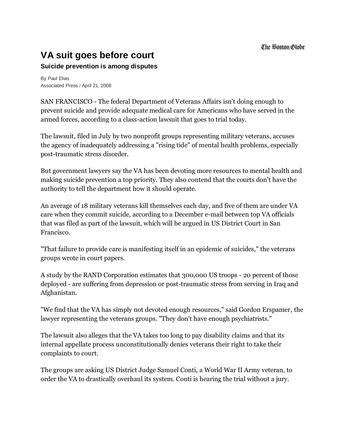## **VA suit goes before court**

## **Suicide prevention is among disputes**

By Paul Elias Associated Press / April 21, 2008

SAN FRANCISCO - The federal Department of Veterans Affairs isn't doing enough to prevent suicide and provide adequate medical care for Americans who have served in the armed forces, according to a class-action lawsuit that goes to trial today.

The lawsuit, filed in July by two nonprofit groups representing military veterans, accuses the agency of inadequately addressing a "rising tide" of mental health problems, especially post-traumatic stress disorder.

But government lawyers say the VA has been devoting more resources to mental health and making suicide prevention a top priority. They also contend that the courts don't have the authority to tell the department how it should operate.

An average of 18 military veterans kill themselves each day, and five of them are under VA care when they commit suicide, according to a December e-mail between top VA officials that was filed as part of the lawsuit, which will be argued in US District Court in San Francisco.

"That failure to provide care is manifesting itself in an epidemic of suicides," the veterans groups wrote in court papers.

A study by the RAND Corporation estimates that 300,000 US troops - 20 percent of those deployed - are suffering from depression or post-traumatic stress from serving in Iraq and Afghanistan.

"We find that the VA has simply not devoted enough resources," said Gordon Erspamer, the lawyer representing the veterans groups. "They don't have enough psychiatrists."

The lawsuit also alleges that the VA takes too long to pay disability claims and that its internal appellate process unconstitutionally denies veterans their right to take their complaints to court.

The groups are asking US District Judge Samuel Conti, a World War II Army veteran, to order the VA to drastically overhaul its system. Conti is hearing the trial without a jury.